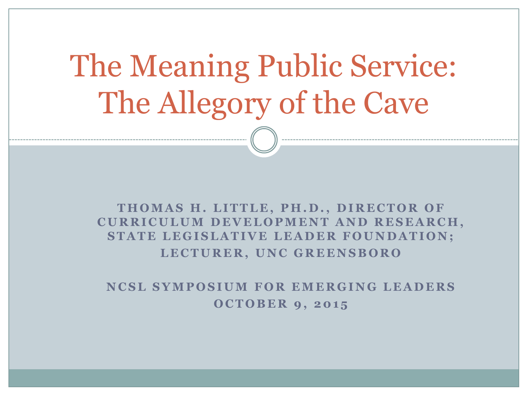The Meaning Public Service: The Allegory of the Cave

THOMAS H. LITTLE, PH.D., DIRECTOR OF **CURRICULUM DEVELOPMENT AND RESEARCH, STATE LEGISLATIVE LEADER FOUNDATION;** L E CTURER, UNC GREENSBORO

**NCSL SYMPOSIUM FOR EMERGING LEADERS O C T O B E R 9, 2 0 1 5**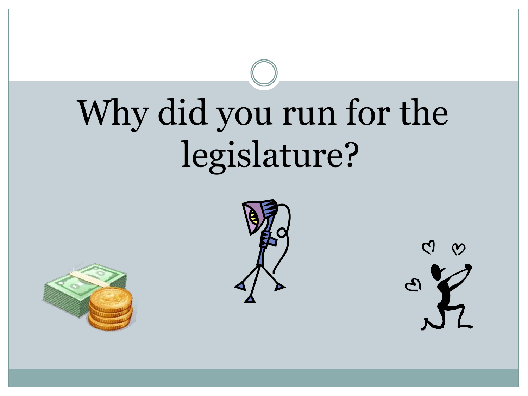# Why did you run for the legislature?





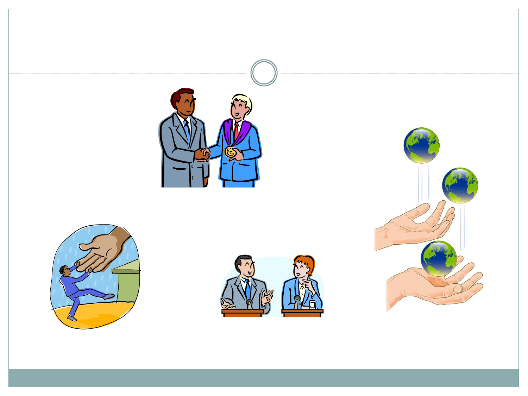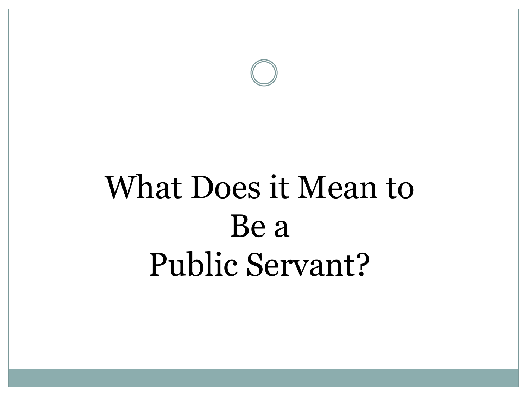## What Does it Mean to Be a Public Servant?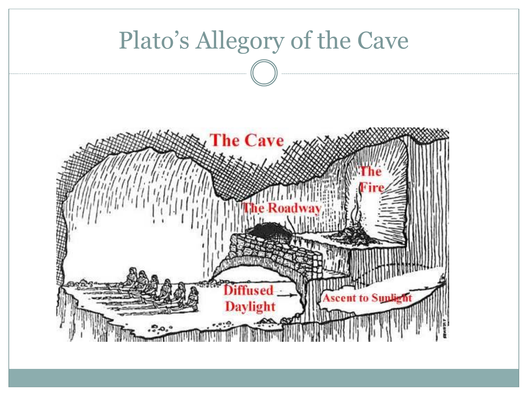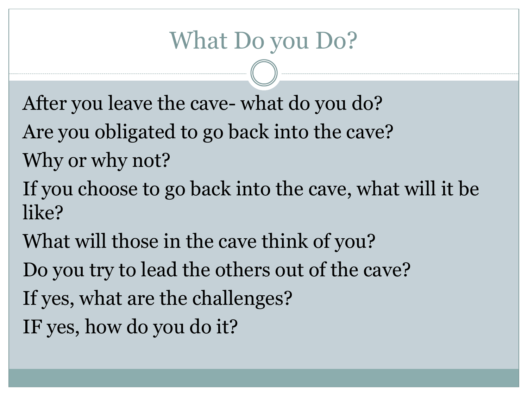### What Do you Do?

- After you leave the cave- what do you do?
- Are you obligated to go back into the cave?
- Why or why not?
- If you choose to go back into the cave, what will it be like?
- What will those in the cave think of you?
- Do you try to lead the others out of the cave?
- If yes, what are the challenges?
- IF yes, how do you do it?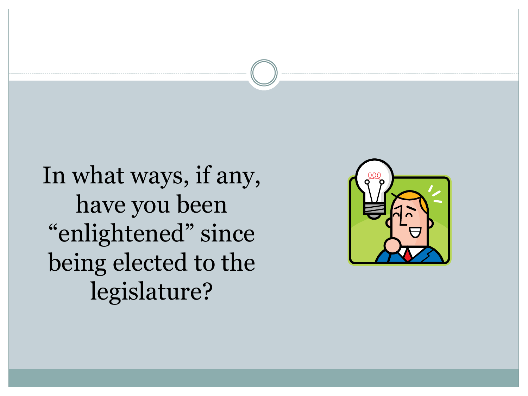In what ways, if any, have you been "enlightened" since being elected to the legislature?

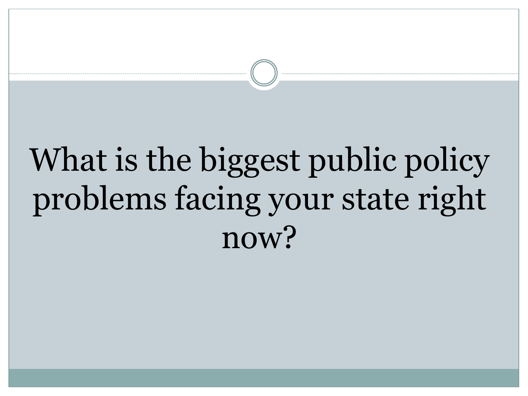## What is the biggest public policy problems facing your state right now?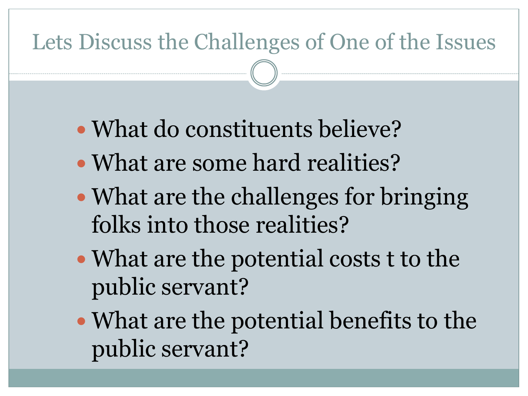#### Lets Discuss the Challenges of One of the Issues

- What do constituents believe?
- What are some hard realities?
- What are the challenges for bringing folks into those realities?
- What are the potential costs t to the public servant?
- What are the potential benefits to the public servant?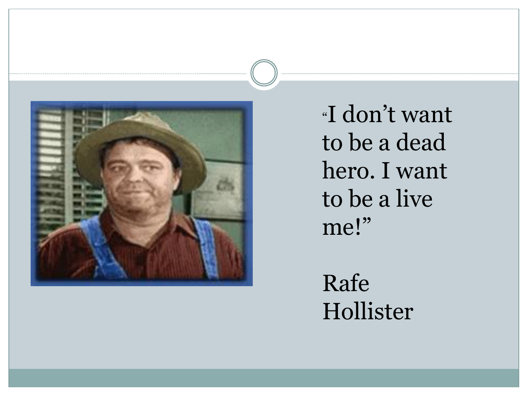

"I don't want to be a dead hero. I want to be a live me!"

Rafe Hollister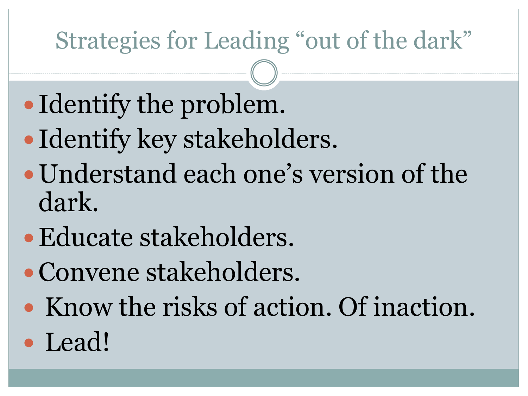## Strategies for Leading "out of the dark"

- Identify the problem.
- Identify key stakeholders.
- Understand each one's version of the dark.
- Educate stakeholders.
- Convene stakeholders.
- Know the risks of action. Of inaction.
- Lead!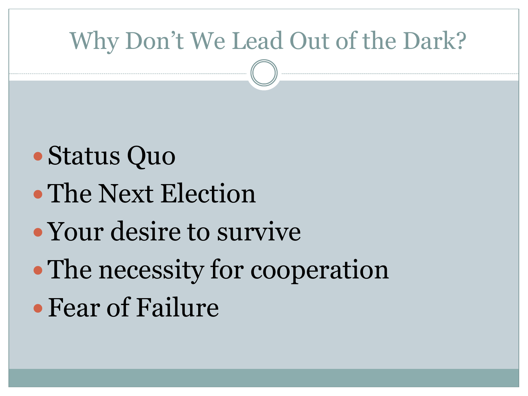### Why Don't We Lead Out of the Dark?

- Status Quo
- The Next Election
- Your desire to survive
- The necessity for cooperation
- Fear of Failure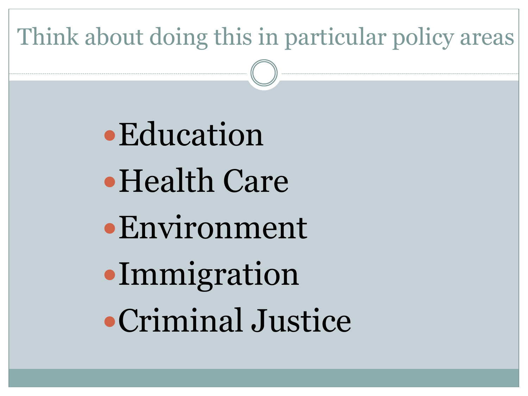## Think about doing this in particular policy areas

Education Health Care Environment **•Immigration** Criminal Justice